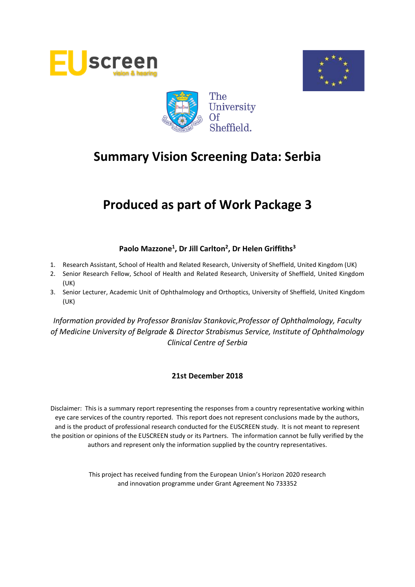





# **Produced as part of Work Package 3**

# **Paolo Mazzone<sup>1</sup> , Dr Jill Carlton<sup>2</sup> , Dr Helen Griffiths<sup>3</sup>**

- 1. Research Assistant, School of Health and Related Research, University of Sheffield, United Kingdom (UK)
- 2. Senior Research Fellow, School of Health and Related Research, University of Sheffield, United Kingdom (UK)
- 3. Senior Lecturer, Academic Unit of Ophthalmology and Orthoptics, University of Sheffield, United Kingdom (UK)

*Information provided by Professor Branislav Stankovic,Professor of Ophthalmology, Faculty of Medicine University of Belgrade & Director Strabismus Service, Institute of Ophthalmology Clinical Centre of Serbia*

#### **21st December 2018**

Disclaimer: This is a summary report representing the responses from a country representative working within eye care services of the country reported. This report does not represent conclusions made by the authors, and is the product of professional research conducted for the EUSCREEN study. It is not meant to represent the position or opinions of the EUSCREEN study or its Partners. The information cannot be fully verified by the authors and represent only the information supplied by the country representatives.

> This project has received funding from the European Union's Horizon 2020 research and innovation programme under Grant Agreement No 733352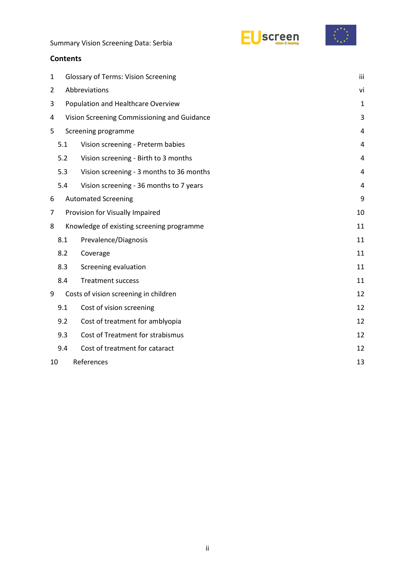



#### **Contents**

| $\mathbf{1}$   |                     | <b>Glossary of Terms: Vision Screening</b>  |                |  |  |  |  |  |
|----------------|---------------------|---------------------------------------------|----------------|--|--|--|--|--|
| $\overline{2}$ |                     | Abbreviations                               |                |  |  |  |  |  |
| 3              |                     | Population and Healthcare Overview          | $\mathbf{1}$   |  |  |  |  |  |
| 4              |                     | Vision Screening Commissioning and Guidance | 3              |  |  |  |  |  |
| 5              | Screening programme |                                             |                |  |  |  |  |  |
|                | 5.1                 | Vision screening - Preterm babies           | 4              |  |  |  |  |  |
|                | 5.2                 | Vision screening - Birth to 3 months        | $\overline{4}$ |  |  |  |  |  |
|                | 5.3                 | Vision screening - 3 months to 36 months    | 4              |  |  |  |  |  |
|                | 5.4                 | Vision screening - 36 months to 7 years     | 4              |  |  |  |  |  |
| 6              |                     | <b>Automated Screening</b>                  | 9              |  |  |  |  |  |
| 7              |                     | Provision for Visually Impaired             | 10             |  |  |  |  |  |
| 8              |                     | Knowledge of existing screening programme   | 11             |  |  |  |  |  |
|                | 8.1                 | Prevalence/Diagnosis                        | 11             |  |  |  |  |  |
|                | 8.2                 | Coverage                                    | 11             |  |  |  |  |  |
|                | 8.3                 | Screening evaluation                        | 11             |  |  |  |  |  |
|                | 8.4                 | <b>Treatment success</b>                    | 11             |  |  |  |  |  |
| 9              |                     | Costs of vision screening in children       | 12             |  |  |  |  |  |
|                | 9.1                 | Cost of vision screening                    | 12             |  |  |  |  |  |
|                | 9.2                 | Cost of treatment for amblyopia             | 12             |  |  |  |  |  |
|                | 9.3                 | Cost of Treatment for strabismus            | 12             |  |  |  |  |  |
|                | 9.4                 | Cost of treatment for cataract              | 12             |  |  |  |  |  |
| 10             | References<br>13    |                                             |                |  |  |  |  |  |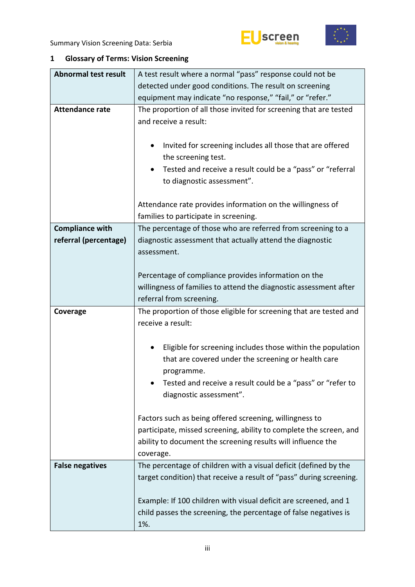



# <span id="page-2-0"></span>**1 Glossary of Terms: Vision Screening**

| <b>Abnormal test result</b> | A test result where a normal "pass" response could not be                                                                                                        |  |  |  |
|-----------------------------|------------------------------------------------------------------------------------------------------------------------------------------------------------------|--|--|--|
|                             | detected under good conditions. The result on screening                                                                                                          |  |  |  |
|                             | equipment may indicate "no response," "fail," or "refer."                                                                                                        |  |  |  |
| <b>Attendance rate</b>      | The proportion of all those invited for screening that are tested<br>and receive a result:                                                                       |  |  |  |
|                             | Invited for screening includes all those that are offered<br>$\bullet$<br>the screening test.<br>Tested and receive a result could be a "pass" or "referral<br>٠ |  |  |  |
|                             | to diagnostic assessment".                                                                                                                                       |  |  |  |
|                             | Attendance rate provides information on the willingness of<br>families to participate in screening.                                                              |  |  |  |
| <b>Compliance with</b>      | The percentage of those who are referred from screening to a                                                                                                     |  |  |  |
| referral (percentage)       | diagnostic assessment that actually attend the diagnostic<br>assessment.                                                                                         |  |  |  |
|                             | Percentage of compliance provides information on the                                                                                                             |  |  |  |
|                             | willingness of families to attend the diagnostic assessment after                                                                                                |  |  |  |
|                             | referral from screening.                                                                                                                                         |  |  |  |
|                             |                                                                                                                                                                  |  |  |  |
|                             |                                                                                                                                                                  |  |  |  |
| Coverage                    | The proportion of those eligible for screening that are tested and                                                                                               |  |  |  |
|                             | receive a result:                                                                                                                                                |  |  |  |
|                             | ٠                                                                                                                                                                |  |  |  |
|                             | Eligible for screening includes those within the population                                                                                                      |  |  |  |
|                             | that are covered under the screening or health care                                                                                                              |  |  |  |
|                             | programme.<br>Tested and receive a result could be a "pass" or "refer to                                                                                         |  |  |  |
|                             | diagnostic assessment".                                                                                                                                          |  |  |  |
|                             |                                                                                                                                                                  |  |  |  |
|                             | Factors such as being offered screening, willingness to                                                                                                          |  |  |  |
|                             | participate, missed screening, ability to complete the screen, and                                                                                               |  |  |  |
|                             | ability to document the screening results will influence the                                                                                                     |  |  |  |
|                             | coverage.                                                                                                                                                        |  |  |  |
| <b>False negatives</b>      | The percentage of children with a visual deficit (defined by the                                                                                                 |  |  |  |
|                             | target condition) that receive a result of "pass" during screening.                                                                                              |  |  |  |
|                             |                                                                                                                                                                  |  |  |  |
|                             | Example: If 100 children with visual deficit are screened, and 1<br>child passes the screening, the percentage of false negatives is                             |  |  |  |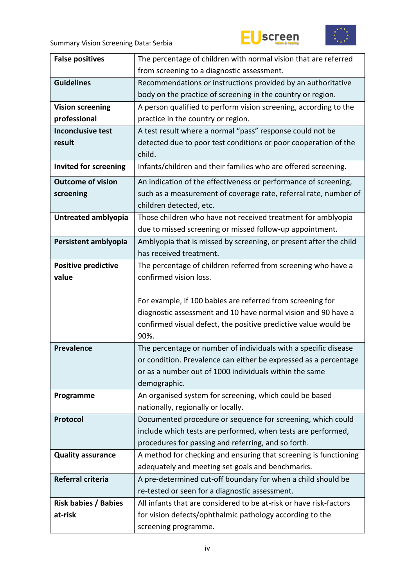



| <b>False positives</b>       | The percentage of children with normal vision that are referred                               |  |  |  |  |
|------------------------------|-----------------------------------------------------------------------------------------------|--|--|--|--|
|                              | from screening to a diagnostic assessment.                                                    |  |  |  |  |
| <b>Guidelines</b>            | Recommendations or instructions provided by an authoritative                                  |  |  |  |  |
|                              | body on the practice of screening in the country or region.                                   |  |  |  |  |
| <b>Vision screening</b>      | A person qualified to perform vision screening, according to the                              |  |  |  |  |
| professional                 | practice in the country or region.                                                            |  |  |  |  |
| <b>Inconclusive test</b>     | A test result where a normal "pass" response could not be                                     |  |  |  |  |
| result                       | detected due to poor test conditions or poor cooperation of the                               |  |  |  |  |
|                              | child.                                                                                        |  |  |  |  |
| <b>Invited for screening</b> | Infants/children and their families who are offered screening.                                |  |  |  |  |
| <b>Outcome of vision</b>     | An indication of the effectiveness or performance of screening,                               |  |  |  |  |
| screening                    | such as a measurement of coverage rate, referral rate, number of                              |  |  |  |  |
|                              | children detected, etc.                                                                       |  |  |  |  |
| Untreated amblyopia          | Those children who have not received treatment for amblyopia                                  |  |  |  |  |
|                              | due to missed screening or missed follow-up appointment.                                      |  |  |  |  |
| Persistent amblyopia         | Amblyopia that is missed by screening, or present after the child                             |  |  |  |  |
|                              | has received treatment.                                                                       |  |  |  |  |
| <b>Positive predictive</b>   | The percentage of children referred from screening who have a                                 |  |  |  |  |
| value                        | confirmed vision loss.                                                                        |  |  |  |  |
|                              |                                                                                               |  |  |  |  |
|                              | For example, if 100 babies are referred from screening for                                    |  |  |  |  |
|                              | diagnostic assessment and 10 have normal vision and 90 have a                                 |  |  |  |  |
|                              | confirmed visual defect, the positive predictive value would be                               |  |  |  |  |
|                              | 90%.                                                                                          |  |  |  |  |
| <b>Prevalence</b>            | The percentage or number of individuals with a specific disease                               |  |  |  |  |
|                              | or condition. Prevalence can either be expressed as a percentage                              |  |  |  |  |
|                              | or as a number out of 1000 individuals within the same                                        |  |  |  |  |
|                              | demographic.                                                                                  |  |  |  |  |
| Programme                    | An organised system for screening, which could be based<br>nationally, regionally or locally. |  |  |  |  |
| Protocol                     | Documented procedure or sequence for screening, which could                                   |  |  |  |  |
|                              | include which tests are performed, when tests are performed,                                  |  |  |  |  |
|                              | procedures for passing and referring, and so forth.                                           |  |  |  |  |
| <b>Quality assurance</b>     | A method for checking and ensuring that screening is functioning                              |  |  |  |  |
|                              | adequately and meeting set goals and benchmarks.                                              |  |  |  |  |
| Referral criteria            | A pre-determined cut-off boundary for when a child should be                                  |  |  |  |  |
|                              | re-tested or seen for a diagnostic assessment.                                                |  |  |  |  |
| <b>Risk babies / Babies</b>  | All infants that are considered to be at-risk or have risk-factors                            |  |  |  |  |
| at-risk                      |                                                                                               |  |  |  |  |
|                              |                                                                                               |  |  |  |  |
|                              | for vision defects/ophthalmic pathology according to the<br>screening programme.              |  |  |  |  |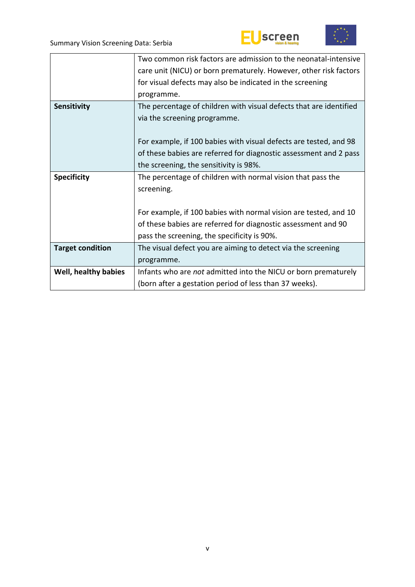



|                         | Two common risk factors are admission to the neonatal-intensive    |
|-------------------------|--------------------------------------------------------------------|
|                         | care unit (NICU) or born prematurely. However, other risk factors  |
|                         | for visual defects may also be indicated in the screening          |
|                         | programme.                                                         |
| <b>Sensitivity</b>      | The percentage of children with visual defects that are identified |
|                         | via the screening programme.                                       |
|                         |                                                                    |
|                         | For example, if 100 babies with visual defects are tested, and 98  |
|                         | of these babies are referred for diagnostic assessment and 2 pass  |
|                         | the screening, the sensitivity is 98%.                             |
| <b>Specificity</b>      | The percentage of children with normal vision that pass the        |
|                         | screening.                                                         |
|                         |                                                                    |
|                         | For example, if 100 babies with normal vision are tested, and 10   |
|                         | of these babies are referred for diagnostic assessment and 90      |
|                         | pass the screening, the specificity is 90%.                        |
| <b>Target condition</b> | The visual defect you are aiming to detect via the screening       |
|                         | programme.                                                         |
| Well, healthy babies    | Infants who are not admitted into the NICU or born prematurely     |
|                         | (born after a gestation period of less than 37 weeks).             |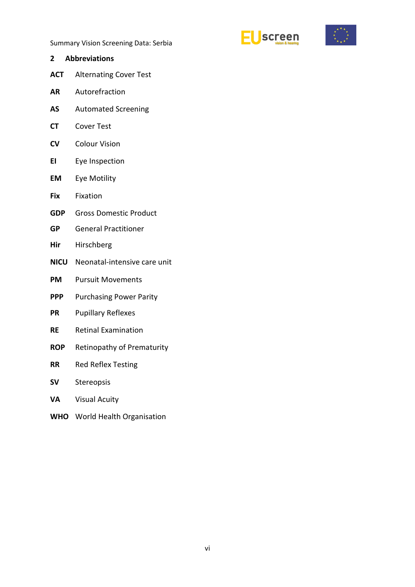



<span id="page-5-0"></span>**2 Abbreviations ACT** Alternating Cover Test **AR** Autorefraction **AS** Automated Screening **CT** Cover Test **CV** Colour Vision **EI** Eye Inspection **EM** Eye Motility **Fix** Fixation **GDP** Gross Domestic Product **GP** General Practitioner **Hir** Hirschberg **NICU** Neonatal-intensive care unit **PM** Pursuit Movements **PPP** Purchasing Power Parity **PR** Pupillary Reflexes **RE** Retinal Examination **ROP** Retinopathy of Prematurity **RR** Red Reflex Testing **SV** Stereopsis **VA** Visual Acuity **WHO** World Health Organisation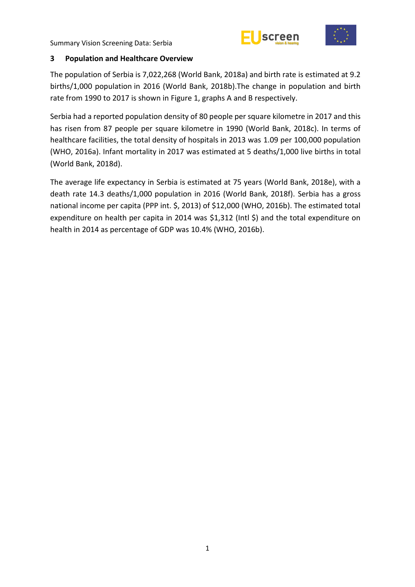



#### <span id="page-6-0"></span>**3 Population and Healthcare Overview**

The population of Serbia is 7,022,268 (World Bank, 2018a) and birth rate is estimated at 9.2 births/1,000 population in 2016 (World Bank, 2018b).The change in population and birth rate from 1990 to 2017 is shown in Figure 1, graphs A and B respectively.

Serbia had a reported population density of 80 people per square kilometre in 2017 and this has risen from 87 people per square kilometre in 1990 (World Bank, 2018c). In terms of healthcare facilities, the total density of hospitals in 2013 was 1.09 per 100,000 population (WHO, 2016a). Infant mortality in 2017 was estimated at 5 deaths/1,000 live births in total (World Bank, 2018d).

The average life expectancy in Serbia is estimated at 75 years (World Bank, 2018e), with a death rate 14.3 deaths/1,000 population in 2016 (World Bank, 2018f). Serbia has a gross national income per capita (PPP int. \$, 2013) of \$12,000 (WHO, 2016b). The estimated total expenditure on health per capita in 2014 was \$1,312 (Intl \$) and the total expenditure on health in 2014 as percentage of GDP was 10.4% (WHO, 2016b).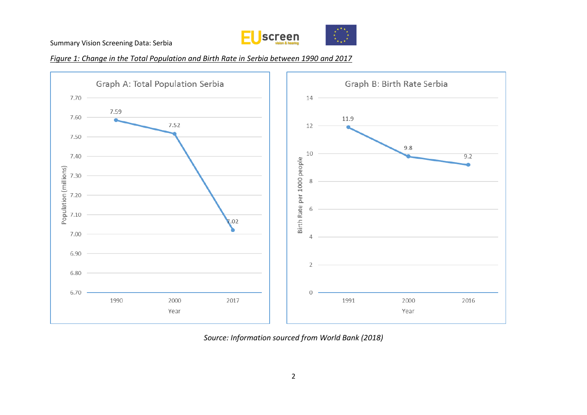

*Figure 1: Change in the Total Population and Birth Rate in Serbia between 1990 and 2017*



*Source: Information sourced from World Bank (2018)*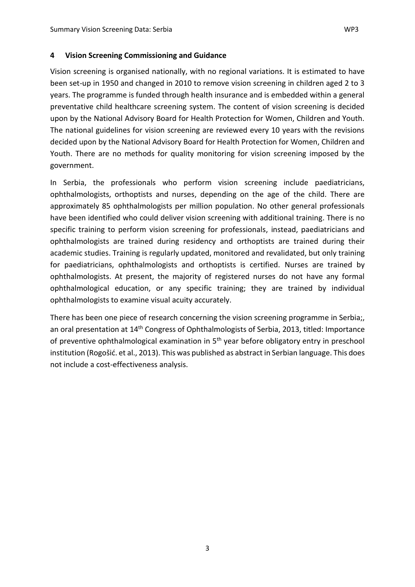#### <span id="page-8-0"></span>**4 Vision Screening Commissioning and Guidance**

Vision screening is organised nationally, with no regional variations. It is estimated to have been set-up in 1950 and changed in 2010 to remove vision screening in children aged 2 to 3 years. The programme is funded through health insurance and is embedded within a general preventative child healthcare screening system. The content of vision screening is decided upon by the National Advisory Board for Health Protection for Women, Children and Youth. The national guidelines for vision screening are reviewed every 10 years with the revisions decided upon by the National Advisory Board for Health Protection for Women, Children and Youth. There are no methods for quality monitoring for vision screening imposed by the government.

In Serbia, the professionals who perform vision screening include paediatricians, ophthalmologists, orthoptists and nurses, depending on the age of the child. There are approximately 85 ophthalmologists per million population. No other general professionals have been identified who could deliver vision screening with additional training. There is no specific training to perform vision screening for professionals, instead, paediatricians and ophthalmologists are trained during residency and orthoptists are trained during their academic studies. Training is regularly updated, monitored and revalidated, but only training for paediatricians, ophthalmologists and orthoptists is certified. Nurses are trained by ophthalmologists. At present, the majority of registered nurses do not have any formal ophthalmological education, or any specific training; they are trained by individual ophthalmologists to examine visual acuity accurately.

There has been one piece of research concerning the vision screening programme in Serbia;, an oral presentation at 14<sup>th</sup> Congress of Ophthalmologists of Serbia, 2013, titled: Importance of preventive ophthalmological examination in 5<sup>th</sup> year before obligatory entry in preschool institution (Rogošić. et al., 2013). This was published as abstract in Serbian language. This does not include a cost-effectiveness analysis.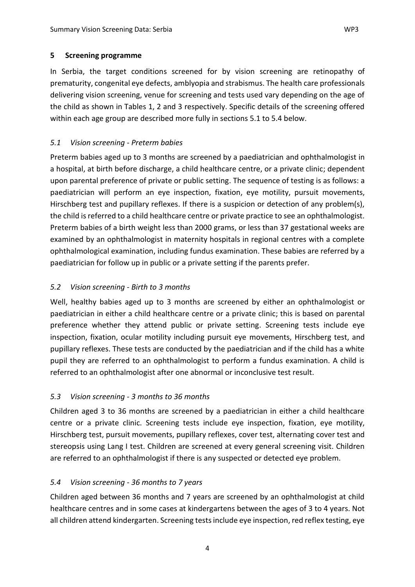#### <span id="page-9-0"></span>**5 Screening programme**

In Serbia, the target conditions screened for by vision screening are retinopathy of prematurity, congenital eye defects, amblyopia and strabismus. The health care professionals delivering vision screening, venue for screening and tests used vary depending on the age of the child as shown in Tables 1, 2 and 3 respectively. Specific details of the screening offered within each age group are described more fully in sections 5.1 to 5.4 below.

# <span id="page-9-1"></span>*5.1 Vision screening - Preterm babies*

Preterm babies aged up to 3 months are screened by a paediatrician and ophthalmologist in a hospital, at birth before discharge, a child healthcare centre, or a private clinic; dependent upon parental preference of private or public setting. The sequence of testing is as follows: a paediatrician will perform an eye inspection, fixation, eye motility, pursuit movements, Hirschberg test and pupillary reflexes. If there is a suspicion or detection of any problem(s), the child is referred to a child healthcare centre or private practice to see an ophthalmologist. Preterm babies of a birth weight less than 2000 grams, or less than 37 gestational weeks are examined by an ophthalmologist in maternity hospitals in regional centres with a complete ophthalmological examination, including fundus examination. These babies are referred by a paediatrician for follow up in public or a private setting if the parents prefer.

## <span id="page-9-2"></span>*5.2 Vision screening - Birth to 3 months*

Well, healthy babies aged up to 3 months are screened by either an ophthalmologist or paediatrician in either a child healthcare centre or a private clinic; this is based on parental preference whether they attend public or private setting. Screening tests include eye inspection, fixation, ocular motility including pursuit eye movements, Hirschberg test, and pupillary reflexes. These tests are conducted by the paediatrician and if the child has a white pupil they are referred to an ophthalmologist to perform a fundus examination. A child is referred to an ophthalmologist after one abnormal or inconclusive test result.

# <span id="page-9-3"></span>*5.3 Vision screening - 3 months to 36 months*

Children aged 3 to 36 months are screened by a paediatrician in either a child healthcare centre or a private clinic. Screening tests include eye inspection, fixation, eye motility, Hirschberg test, pursuit movements, pupillary reflexes, cover test, alternating cover test and stereopsis using Lang I test. Children are screened at every general screening visit. Children are referred to an ophthalmologist if there is any suspected or detected eye problem.

#### <span id="page-9-4"></span>*5.4 Vision screening - 36 months to 7 years*

Children aged between 36 months and 7 years are screened by an ophthalmologist at child healthcare centres and in some cases at kindergartens between the ages of 3 to 4 years. Not all children attend kindergarten. Screening tests include eye inspection, red reflex testing, eye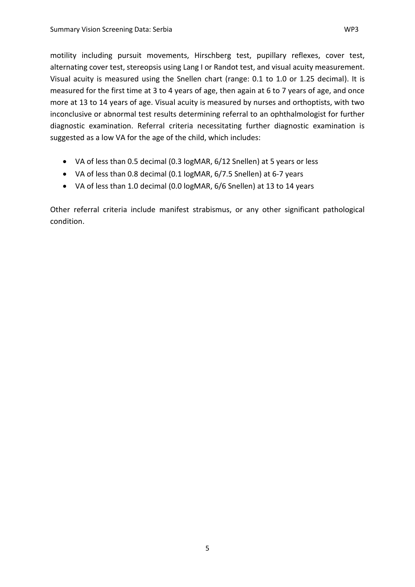motility including pursuit movements, Hirschberg test, pupillary reflexes, cover test, alternating cover test, stereopsis using Lang I or Randot test, and visual acuity measurement. Visual acuity is measured using the Snellen chart (range: 0.1 to 1.0 or 1.25 decimal). It is measured for the first time at 3 to 4 years of age, then again at 6 to 7 years of age, and once more at 13 to 14 years of age. Visual acuity is measured by nurses and orthoptists, with two inconclusive or abnormal test results determining referral to an ophthalmologist for further diagnostic examination. Referral criteria necessitating further diagnostic examination is suggested as a low VA for the age of the child, which includes:

- VA of less than 0.5 decimal (0.3 logMAR, 6/12 Snellen) at 5 years or less
- VA of less than 0.8 decimal (0.1 logMAR, 6/7.5 Snellen) at 6-7 years
- VA of less than 1.0 decimal (0.0 logMAR, 6/6 Snellen) at 13 to 14 years

Other referral criteria include manifest strabismus, or any other significant pathological condition.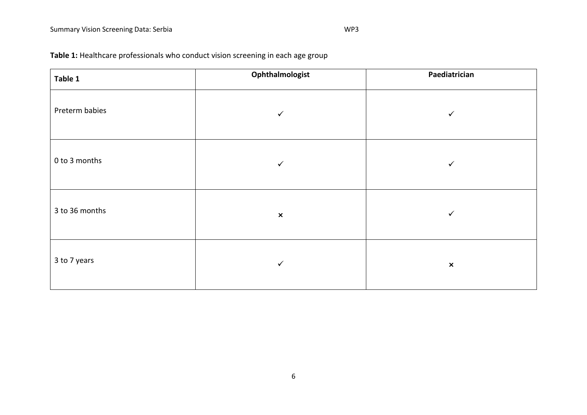| Table 1        | Ophthalmologist | Paediatrician  |
|----------------|-----------------|----------------|
| Preterm babies | $\checkmark$    | $\checkmark$   |
| 0 to 3 months  | $\checkmark$    | $\checkmark$   |
| 3 to 36 months | $\pmb{\times}$  | ✓              |
| 3 to 7 years   | $\checkmark$    | $\pmb{\times}$ |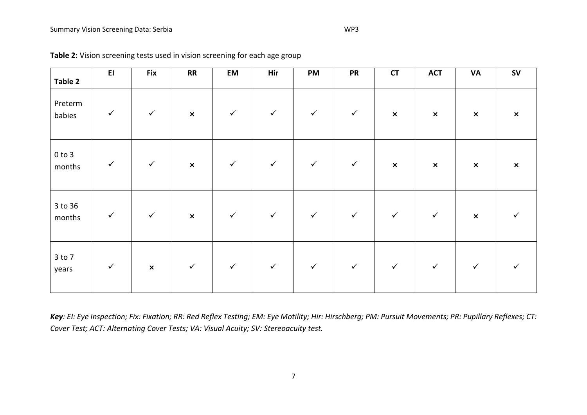**Table 2**

| screening tests used in vision screening for each age group |           |    |     |           |           |    |            |           |           |  |
|-------------------------------------------------------------|-----------|----|-----|-----------|-----------|----|------------|-----------|-----------|--|
| Fix                                                         | <b>RR</b> | EM | Hir | <b>PM</b> | <b>PR</b> | СT | <b>ACT</b> | <b>VA</b> | <b>SV</b> |  |
|                                                             |           |    |     |           |           |    |            |           |           |  |

| Preterm<br>babies    | $\checkmark$ | $\checkmark$   | $\pmb{\times}$ | $\checkmark$ | $\checkmark$ | $\checkmark$ | $\checkmark$ | $\pmb{\times}$ | $\pmb{\times}$ | $\boldsymbol{\mathsf{x}}$ | $\boldsymbol{\mathsf{x}}$ |
|----------------------|--------------|----------------|----------------|--------------|--------------|--------------|--------------|----------------|----------------|---------------------------|---------------------------|
| $0$ to $3$<br>months | $\checkmark$ | $\checkmark$   | $\pmb{\times}$ | $\checkmark$ | $\checkmark$ | $\checkmark$ | $\checkmark$ | $\pmb{\times}$ | $\pmb{\times}$ | $\pmb{\times}$            | $\pmb{\times}$            |
| 3 to 36<br>months    | $\checkmark$ | $\checkmark$   | $\pmb{\times}$ | $\checkmark$ | $\checkmark$ | $\checkmark$ | $\checkmark$ | $\checkmark$   | $\checkmark$   | $\boldsymbol{\mathsf{x}}$ |                           |
| $3$ to $7$<br>years  | $\checkmark$ | $\pmb{\times}$ | $\checkmark$   | $\checkmark$ | $\checkmark$ | $\checkmark$ | $\checkmark$ | $\checkmark$   | $\checkmark$   | $\checkmark$              |                           |

*Key: EI: Eye Inspection; Fix: Fixation; RR: Red Reflex Testing; EM: Eye Motility; Hir: Hirschberg; PM: Pursuit Movements; PR: Pupillary Reflexes; CT: Cover Test; ACT: Alternating Cover Tests; VA: Visual Acuity; SV: Stereoacuity test.*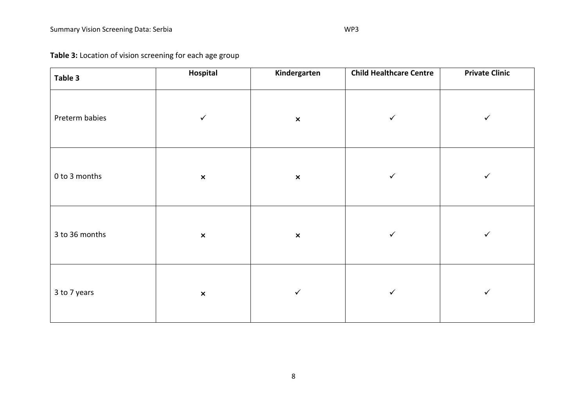**Table 3:** Location of vision screening for each age group

| Table 3        | Hospital       | Kindergarten   | <b>Child Healthcare Centre</b> | <b>Private Clinic</b> |
|----------------|----------------|----------------|--------------------------------|-----------------------|
| Preterm babies | $\checkmark$   | $\pmb{\times}$ | $\checkmark$                   | ✓                     |
| 0 to 3 months  | $\pmb{\times}$ | $\pmb{\times}$ | $\checkmark$                   | $\checkmark$          |
| 3 to 36 months | $\pmb{\times}$ | $\pmb{\times}$ | $\checkmark$                   | ✓                     |
| 3 to 7 years   | $\pmb{\times}$ | $\checkmark$   | $\checkmark$                   | $\checkmark$          |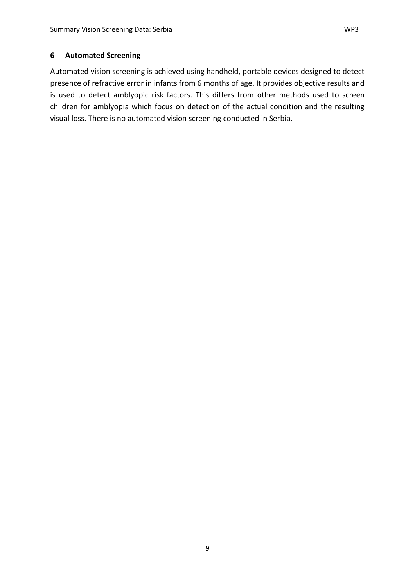<span id="page-14-0"></span>Automated vision screening is achieved using handheld, portable devices designed to detect presence of refractive error in infants from 6 months of age. It provides objective results and is used to detect amblyopic risk factors. This differs from other methods used to screen children for amblyopia which focus on detection of the actual condition and the resulting visual loss. There is no automated vision screening conducted in Serbia.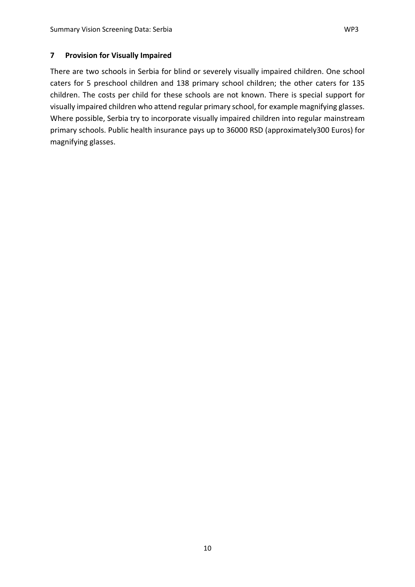<span id="page-15-0"></span>There are two schools in Serbia for blind or severely visually impaired children. One school caters for 5 preschool children and 138 primary school children; the other caters for 135 children. The costs per child for these schools are not known. There is special support for visually impaired children who attend regular primary school, for example magnifying glasses. Where possible, Serbia try to incorporate visually impaired children into regular mainstream primary schools. Public health insurance pays up to 36000 RSD (approximately300 Euros) for magnifying glasses.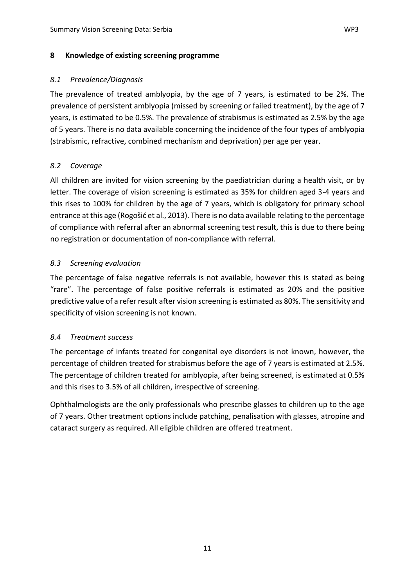## <span id="page-16-1"></span><span id="page-16-0"></span>*8.1 Prevalence/Diagnosis*

The prevalence of treated amblyopia, by the age of 7 years, is estimated to be 2%. The prevalence of persistent amblyopia (missed by screening or failed treatment), by the age of 7 years, is estimated to be 0.5%. The prevalence of strabismus is estimated as 2.5% by the age of 5 years. There is no data available concerning the incidence of the four types of amblyopia (strabismic, refractive, combined mechanism and deprivation) per age per year.

# <span id="page-16-2"></span>*8.2 Coverage*

All children are invited for vision screening by the paediatrician during a health visit, or by letter. The coverage of vision screening is estimated as 35% for children aged 3-4 years and this rises to 100% for children by the age of 7 years, which is obligatory for primary school entrance at this age (Rogošić et al., 2013). There is no data available relating to the percentage of compliance with referral after an abnormal screening test result, this is due to there being no registration or documentation of non-compliance with referral.

## <span id="page-16-3"></span>*8.3 Screening evaluation*

The percentage of false negative referrals is not available, however this is stated as being "rare". The percentage of false positive referrals is estimated as 20% and the positive predictive value of a refer result after vision screening is estimated as 80%. The sensitivity and specificity of vision screening is not known.

#### <span id="page-16-4"></span>*8.4 Treatment success*

The percentage of infants treated for congenital eye disorders is not known, however, the percentage of children treated for strabismus before the age of 7 years is estimated at 2.5%. The percentage of children treated for amblyopia, after being screened, is estimated at 0.5% and this rises to 3.5% of all children, irrespective of screening.

Ophthalmologists are the only professionals who prescribe glasses to children up to the age of 7 years. Other treatment options include patching, penalisation with glasses, atropine and cataract surgery as required. All eligible children are offered treatment.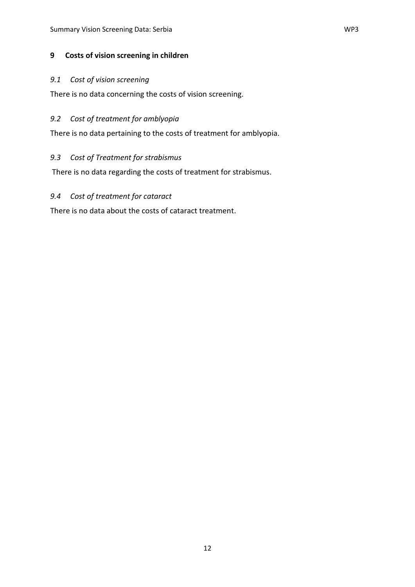#### <span id="page-17-0"></span>**9 Costs of vision screening in children**

#### <span id="page-17-1"></span>*9.1 Cost of vision screening*

There is no data concerning the costs of vision screening.

#### <span id="page-17-2"></span>*9.2 Cost of treatment for amblyopia*

There is no data pertaining to the costs of treatment for amblyopia.

#### <span id="page-17-3"></span>*9.3 Cost of Treatment for strabismus*

There is no data regarding the costs of treatment for strabismus.

# <span id="page-17-4"></span>*9.4 Cost of treatment for cataract*

There is no data about the costs of cataract treatment.